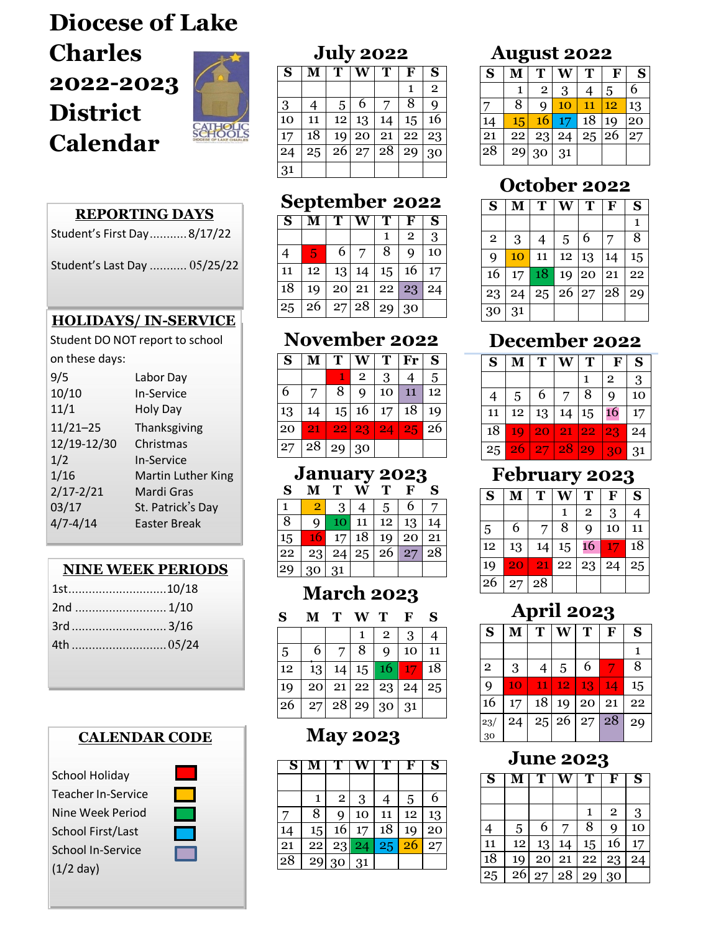# **Diocese of Lake Charles 2022-2023 District Calendar**



31

#### **REPORTING DAYS**

Student's First Day...........8/17/22

Student's Last Day ........... 05/25/22

#### **HOLIDAYS/ IN-SERVICE**

Student DO NOT report to school

on these days:

| 9/5           | Labor Day           |
|---------------|---------------------|
| 10/10         | <b>In-Service</b>   |
| 11/1          | Holy Day            |
| $11/21 - 25$  | Thanksgiving        |
| 12/19-12/30   | Christmas           |
| 1/2           | <b>In-Service</b>   |
| 1/16          | Martin Luther King  |
| $2/17 - 2/21$ | Mardi Gras          |
| 03/17         | St. Patrick's Day   |
| $4/7 - 4/14$  | <b>Easter Break</b> |
|               |                     |

### **NINE WEEK PERIODS**

#### **CALENDAR COD**



| AK CODE |  |
|---------|--|
|         |  |
|         |  |
|         |  |
|         |  |
|         |  |

# $1 \mid 2 \mid 3 \mid 4 \mid 5 \mid 6 \mid 7$ 8 9 10 11 12 13 14  $\frac{15}{2}$

 $27 \mid 28 \mid 29 \mid 30$ 

| 15 |                                  |  |  |  |
|----|----------------------------------|--|--|--|
|    | 22   23   24   25   26   27   28 |  |  |  |
|    | 29 30 31                         |  |  |  |
|    |                                  |  |  |  |

**July 2022**  $S$  **M**  $T$  **W**  $T$  **F**  $S$ 

3 4 5 6 7 8 9 10 11 12 13 14 15 16 17 18 19 20 21 22 23  $24 | 25 | 26 | 27 | 28 | 29 | 30$ 

**September 2022**  $S$  **M**  $T$  **W**  $T$  **F**  $S$ 

4 5 6 7 8 9 10 11 | 12 | 13 | 14 | 15 | 16 | 17 18 19 20 21 22 23 24  $25 \mid 26 \mid 27 \mid 28 \mid 29 \mid 30$ 

**November 2022**  $S$  **M T W T Fr S** 

 $6 \mid 7 \mid 8 \mid 9 \mid 10 \mid 11 \mid 12$ 13 14 15 16 17 18 19 20 <mark>21 22 23 24 25</mark> 26

**January 2023 S M T W T F S**

 $1 \t2 \t3 \t4 \t5$ 

 $1 \mid 2$ 

 $1 \mid 2 \mid 3$ 

# **March 2023**

| S  |    | Т  | W T      |                                | F  | S  |
|----|----|----|----------|--------------------------------|----|----|
|    |    |    |          | $\overline{2}$                 | 3  |    |
| 5  | 6  |    | 8        | q                              | 10 | 11 |
| 12 | 13 | 14 |          | $15 \mid 16 \mid 17$           |    | 18 |
| 19 | 20 |    |          | $\overline{21}$   22   23   24 |    | 25 |
| 26 | 27 |    | 28 29 30 |                                | 31 |    |

## **May 2023**

| S               |    |              |    |    | ₩               | S  |
|-----------------|----|--------------|----|----|-----------------|----|
|                 |    |              |    |    |                 |    |
|                 |    | $\mathbf{2}$ | 3  | 4  | 5               | 6  |
|                 | 8  | q            | 10 | 11 | 12              | 13 |
| 14              | 15 | 16           | 17 | 18 | 19              | 20 |
| 21              | 22 | 23           | 24 | 25 | $\overline{26}$ | 27 |
| $\overline{28}$ | 29 | 30           | 31 |    |                 |    |

## **August 2022**

| o  |    |             |    |    |    |    |  |  |
|----|----|-------------|----|----|----|----|--|--|
| S  |    | T           |    | Т  | F  | S  |  |  |
|    | 1  | $\mathbf 2$ | 3  | 4  | 5  | 6  |  |  |
|    | 8  | q           | 10 | 11 | 12 | 13 |  |  |
| 14 | 15 | 16          | 17 | 18 | 19 | 20 |  |  |
| 21 | 22 | 23          | 24 | 25 | 26 | 27 |  |  |
| 28 | 29 | 30          | 31 |    |    |    |  |  |

## **October 2022**

| S            | M  | T  | W        | T | F  | S  |
|--------------|----|----|----------|---|----|----|
|              |    |    |          |   |    | 1  |
| $\mathbf{2}$ | 3  | 4  | 5        | 6 | 7  | 8  |
| 9            | 10 | 11 | 12 13    |   | 14 | 15 |
| 16           | 17 | 18 | 19 20    |   | 21 | 22 |
| 23           | 24 |    | 25 26 27 |   | 28 | 29 |
| 30           | 31 |    |          |   |    |    |

## **December 2022**

| S  |    | T  | W     | T  | F            | S  |
|----|----|----|-------|----|--------------|----|
|    |    |    |       |    | $\mathbf{2}$ | 3  |
| 4  | 5  | 6  | 7     | 8  | 9            | 10 |
| 11 | 12 | 13 | 14    | 15 | 16           | 17 |
| 18 | 19 | 20 | 21 22 |    | 23           | 24 |
| 25 | 26 | 27 | 28    | 29 | 30           | 31 |

### **February 2023**

| S  | М  | T  |    | т              | $\mathbf{F}$ | S  |
|----|----|----|----|----------------|--------------|----|
|    |    |    |    | $\overline{2}$ | 3            |    |
| 5  | 6  | 7  | 8  | 9              | 10           | 11 |
| 12 | 13 | 14 | 15 | 16             | 17           | 18 |
| 19 | 20 | 21 | 22 | 23             | 24           | 25 |
| 26 | 27 | 28 |    |                |              |    |

# **April 2023**

| S              | M  | T  | Ŵ                    | T  | F  | S  |
|----------------|----|----|----------------------|----|----|----|
|                |    |    |                      |    |    | 1  |
| $\overline{2}$ | 3  | 4  | 5                    | 6  |    | 8  |
| 9              | 10 | 11 | 12 <sub>1</sub>      | 13 | 14 | 15 |
| 16             | 17 |    | 18 19                | 20 | 21 | 22 |
| 23/            | 24 |    | $25 \mid 26 \mid 27$ |    | 28 | 29 |
| 30             |    |    |                      |    |    |    |

### **June 2023**

| $\overline{\phantom{a}}$ S |    | т  |    |    | F            | S  |
|----------------------------|----|----|----|----|--------------|----|
|                            |    |    |    |    |              |    |
|                            |    |    |    | 1  | $\mathbf{2}$ | 3  |
| 4                          | 5  | 6  |    | 8  | q            | 10 |
| 11                         | 12 | 13 | 14 | 15 | 16           | 17 |
| 18                         | 19 | 20 | 21 | 22 | 23           | 24 |
| 25                         | 26 | 27 | 28 | 29 | 30           |    |